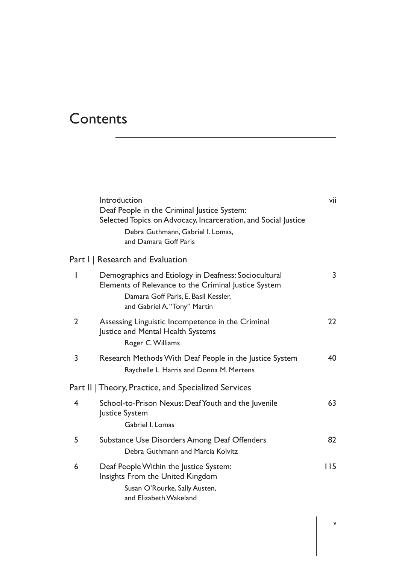## **Contents**

|                | Introduction<br>Deaf People in the Criminal Justice System:<br>Selected Topics on Advocacy, Incarceration, and Social Justice<br>Debra Guthmann, Gabriel I. Lomas,<br>and Damara Goff Paris | vii |
|----------------|---------------------------------------------------------------------------------------------------------------------------------------------------------------------------------------------|-----|
|                | Part I   Research and Evaluation                                                                                                                                                            |     |
| ı              | Demographics and Etiology in Deafness: Sociocultural<br>Elements of Relevance to the Criminal Justice System<br>Damara Goff Paris, E. Basil Kessler,<br>and Gabriel A. "Tony" Martin        | 3   |
| 2              | Assessing Linguistic Incompetence in the Criminal<br>Justice and Mental Health Systems<br>Roger C. Williams                                                                                 | 22  |
| 3              | Research Methods With Deaf People in the Justice System<br>Raychelle L. Harris and Donna M. Mertens                                                                                         | 40  |
|                | Part II   Theory, Practice, and Specialized Services                                                                                                                                        |     |
| $\overline{4}$ | School-to-Prison Nexus: Deaf Youth and the Juvenile<br>Justice System<br>Gabriel I. Lomas                                                                                                   | 63  |
| 5              | Substance Use Disorders Among Deaf Offenders<br>Debra Guthmann and Marcia Kolvitz                                                                                                           | 82  |
| 6              | Deaf People Within the Justice System:<br>Insights From the United Kingdom<br>Susan O'Rourke, Sally Austen,<br>and Elizabeth Wakeland                                                       | 115 |

v